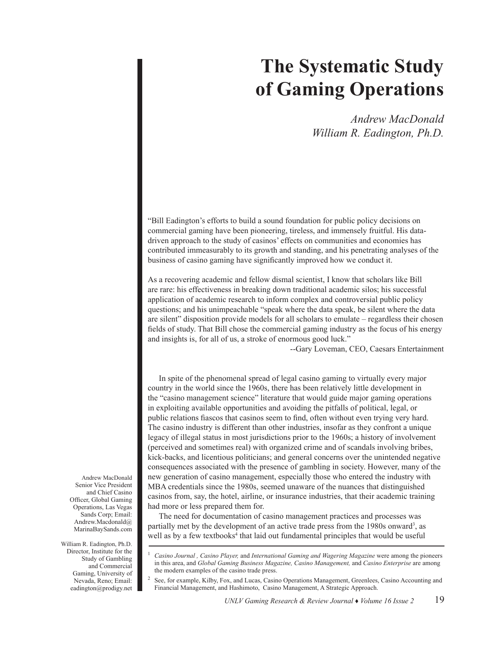## **The Systematic Study of Gaming Operations**

*Andrew MacDonald William R. Eadington, Ph.D.* 

"Bill Eadington's efforts to build a sound foundation for public policy decisions on commercial gaming have been pioneering, tireless, and immensely fruitful. His datadriven approach to the study of casinos' effects on communities and economies has contributed immeasurably to its growth and standing, and his penetrating analyses of the business of casino gaming have significantly improved how we conduct it.

As a recovering academic and fellow dismal scientist, I know that scholars like Bill are rare: his effectiveness in breaking down traditional academic silos; his successful application of academic research to inform complex and controversial public policy questions; and his unimpeachable "speak where the data speak, be silent where the data are silent" disposition provide models for all scholars to emulate – regardless their chosen fields of study. That Bill chose the commercial gaming industry as the focus of his energy and insights is, for all of us, a stroke of enormous good luck."

--Gary Loveman, CEO, Caesars Entertainment

In spite of the phenomenal spread of legal casino gaming to virtually every major country in the world since the 1960s, there has been relatively little development in the "casino management science" literature that would guide major gaming operations in exploiting available opportunities and avoiding the pitfalls of political, legal, or public relations fiascos that casinos seem to find, often without even trying very hard. The casino industry is different than other industries, insofar as they confront a unique legacy of illegal status in most jurisdictions prior to the 1960s; a history of involvement (perceived and sometimes real) with organized crime and of scandals involving bribes, kick-backs, and licentious politicians; and general concerns over the unintended negative consequences associated with the presence of gambling in society. However, many of the new generation of casino management, especially those who entered the industry with MBA credentials since the 1980s, seemed unaware of the nuances that distinguished casinos from, say, the hotel, airline, or insurance industries, that their academic training had more or less prepared them for.

The need for documentation of casino management practices and processes was partially met by the development of an active trade press from the 1980s onward<sup>3</sup>, as well as by a few textbooks<sup>4</sup> that laid out fundamental principles that would be useful

Andrew MacDonald Senior Vice President and Chief Casino Officer, Global Gaming Operations, Las Vegas Sands Corp; Email: Andrew.Macdonald@ MarinaBaySands.com

William R. Eadington, Ph.D. Director, Institute for the Study of Gambling and Commercial Gaming, University of Nevada, Reno; Email: eadington@prodigy.net

<sup>1</sup> *Casino Journal , Casino Player,* and *International Gaming and Wagering Magazine* were among the pioneers in this area, and *Global Gaming Business Magazine, Casino Management,* and *Casino Enterprise* are among the modern examples of the casino trade press.

<sup>2</sup> See, for example, Kilby, Fox, and Lucas, Casino Operations Management, Greenlees, Casino Accounting and Financial Management, and Hashimoto, Casino Management, A Strategic Approach.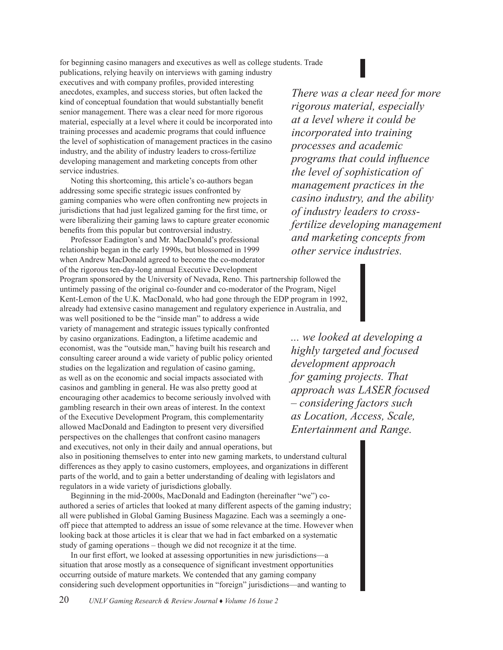for beginning casino managers and executives as well as college students. Trade

publications, relying heavily on interviews with gaming industry executives and with company profiles, provided interesting anecdotes, examples, and success stories, but often lacked the kind of conceptual foundation that would substantially benefit senior management. There was a clear need for more rigorous material, especially at a level where it could be incorporated into training processes and academic programs that could influence the level of sophistication of management practices in the casino industry, and the ability of industry leaders to cross-fertilize developing management and marketing concepts from other service industries.

Noting this shortcoming, this article's co-authors began addressing some specific strategic issues confronted by gaming companies who were often confronting new projects in jurisdictions that had just legalized gaming for the first time, or were liberalizing their gaming laws to capture greater economic benefits from this popular but controversial industry.

Professor Eadington's and Mr. MacDonald's professional relationship began in the early 1990s, but blossomed in 1999 when Andrew MacDonald agreed to become the co-moderator of the rigorous ten-day-long annual Executive Development Program sponsored by the University of Nevada, Reno. This partnership followed the untimely passing of the original co-founder and co-moderator of the Program, Nigel Kent-Lemon of the U.K. MacDonald, who had gone through the EDP program in 1992, already had extensive casino management and regulatory experience in Australia, and was well positioned to be the "inside man" to address a wide variety of management and strategic issues typically confronted by casino organizations. Eadington, a lifetime academic and economist, was the "outside man," having built his research and consulting career around a wide variety of public policy oriented studies on the legalization and regulation of casino gaming, as well as on the economic and social impacts associated with casinos and gambling in general. He was also pretty good at

encouraging other academics to become seriously involved with gambling research in their own areas of interest. In the context of the Executive Development Program, this complementarity allowed MacDonald and Eadington to present very diversified perspectives on the challenges that confront casino managers and executives, not only in their daily and annual operations, but also in positioning themselves to enter into new gaming markets, to understand cultural differences as they apply to casino customers, employees, and organizations in different parts of the world, and to gain a better understanding of dealing with legislators and regulators in a wide variety of jurisdictions globally.

Beginning in the mid-2000s, MacDonald and Eadington (hereinafter "we") coauthored a series of articles that looked at many different aspects of the gaming industry; all were published in Global Gaming Business Magazine. Each was a seemingly a oneoff piece that attempted to address an issue of some relevance at the time. However when looking back at those articles it is clear that we had in fact embarked on a systematic study of gaming operations – though we did not recognize it at the time.

In our first effort, we looked at assessing opportunities in new jurisdictions—a situation that arose mostly as a consequence of significant investment opportunities occurring outside of mature markets. We contended that any gaming company considering such development opportunities in "foreign" jurisdictions—and wanting to

20 *UNLV Gaming Research & Review Journal* ♦ *Volume 16 Issue 2*

*There was a clear need for more rigorous material, especially at a level where it could be incorporated into training processes and academic programs that could influence the level of sophistication of management practices in the casino industry, and the ability of industry leaders to crossfertilize developing management and marketing concepts from other service industries.* 

*... we looked at developing a highly targeted and focused development approach for gaming projects. That approach was LASER focused – considering factors such as Location, Access, Scale, Entertainment and Range.*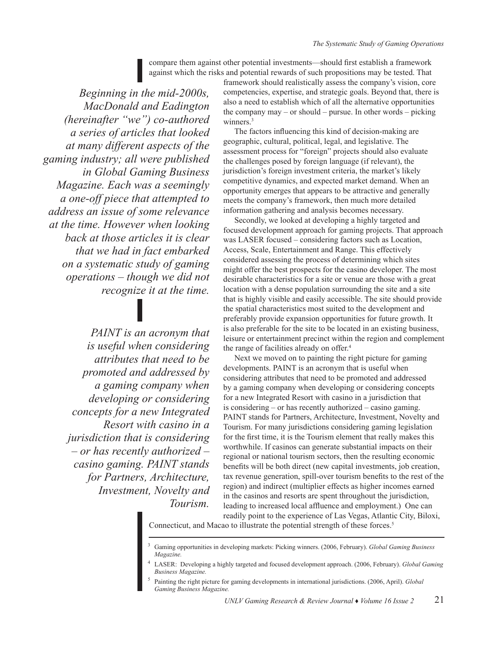compare them against other potential investments—should first establish a framework against which the risks and potential rewards of such propositions may be tested. That

*Beginning in the mid-2000s, MacDonald and Eadington (hereinafter "we") co-authored a series of articles that looked at many different aspects of the gaming industry; all were published in Global Gaming Business Magazine. Each was a seemingly a one-off piece that attempted to address an issue of some relevance at the time. However when looking back at those articles it is clear that we had in fact embarked on a systematic study of gaming operations – though we did not recognize it at the time.* 

> *PAINT is an acronym that is useful when considering attributes that need to be promoted and addressed by a gaming company when developing or considering concepts for a new Integrated Resort with casino in a jurisdiction that is considering – or has recently authorized – casino gaming. PAINT stands for Partners, Architecture, Investment, Novelty and Tourism.*

framework should realistically assess the company's vision, core competencies, expertise, and strategic goals. Beyond that, there is also a need to establish which of all the alternative opportunities the company may – or should – pursue. In other words – picking winners.<sup>3</sup>

The factors influencing this kind of decision-making are geographic, cultural, political, legal, and legislative. The assessment process for "foreign" projects should also evaluate the challenges posed by foreign language (if relevant), the jurisdiction's foreign investment criteria, the market's likely competitive dynamics, and expected market demand. When an opportunity emerges that appears to be attractive and generally meets the company's framework, then much more detailed information gathering and analysis becomes necessary.

Secondly, we looked at developing a highly targeted and focused development approach for gaming projects. That approach was LASER focused – considering factors such as Location, Access, Scale, Entertainment and Range. This effectively considered assessing the process of determining which sites might offer the best prospects for the casino developer. The most desirable characteristics for a site or venue are those with a great location with a dense population surrounding the site and a site that is highly visible and easily accessible. The site should provide the spatial characteristics most suited to the development and preferably provide expansion opportunities for future growth. It is also preferable for the site to be located in an existing business, leisure or entertainment precinct within the region and complement the range of facilities already on offer.<sup>4</sup>

Next we moved on to painting the right picture for gaming developments. PAINT is an acronym that is useful when considering attributes that need to be promoted and addressed by a gaming company when developing or considering concepts for a new Integrated Resort with casino in a jurisdiction that is considering – or has recently authorized – casino gaming. PAINT stands for Partners, Architecture, Investment, Novelty and Tourism. For many jurisdictions considering gaming legislation for the first time, it is the Tourism element that really makes this worthwhile. If casinos can generate substantial impacts on their regional or national tourism sectors, then the resulting economic benefits will be both direct (new capital investments, job creation, tax revenue generation, spill-over tourism benefits to the rest of the region) and indirect (multiplier effects as higher incomes earned in the casinos and resorts are spent throughout the jurisdiction, leading to increased local affluence and employment.) One can readily point to the experience of Las Vegas, Atlantic City, Biloxi,

Connecticut, and Macao to illustrate the potential strength of these forces.<sup>5</sup>

<sup>3</sup> Gaming opportunities in developing markets: Picking winners. (2006, February). *Global Gaming Business Magazine.*

<sup>4</sup> LASER: Developing a highly targeted and focused development approach. (2006, February). *Global Gaming Business Magazine.*

<sup>5</sup> Painting the right picture for gaming developments in international jurisdictions. (2006, April). *Global Gaming Business Magazine.*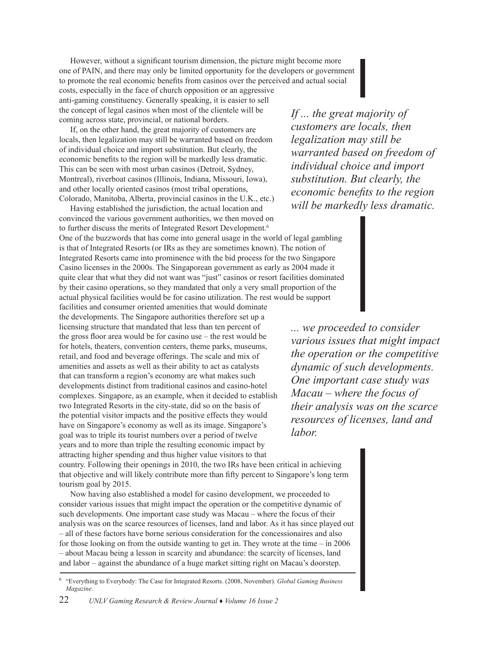However, without a significant tourism dimension, the picture might become more one of PAIN, and there may only be limited opportunity for the developers or government to promote the real economic benefits from casinos over the perceived and actual social costs, especially in the face of church opposition or an aggressive anti-gaming constituency. Generally speaking, it is easier to sell the concept of legal casinos when most of the clientele will be

coming across state, provincial, or national borders. If, on the other hand, the great majority of customers are locals, then legalization may still be warranted based on freedom

of individual choice and import substitution. But clearly, the economic benefits to the region will be markedly less dramatic. This can be seen with most urban casinos (Detroit, Sydney, Montreal), riverboat casinos (Illinois, Indiana, Missouri, Iowa), and other locally oriented casinos (most tribal operations, Colorado, Manitoba, Alberta, provincial casinos in the U.K., etc.)

Having established the jurisdiction, the actual location and convinced the various government authorities, we then moved on to further discuss the merits of Integrated Resort Development.<sup>6</sup> One of the buzzwords that has come into general usage in the world of legal gambling is that of Integrated Resorts (or IRs as they are sometimes known). The notion of Integrated Resorts came into prominence with the bid process for the two Singapore Casino licenses in the 2000s. The Singaporean government as early as 2004 made it quite clear that what they did not want was "just" casinos or resort facilities dominated by their casino operations, so they mandated that only a very small proportion of the actual physical facilities would be for casino utilization. The rest would be support

facilities and consumer oriented amenities that would dominate the developments. The Singapore authorities therefore set up a licensing structure that mandated that less than ten percent of the gross floor area would be for casino use – the rest would be for hotels, theaters, convention centers, theme parks, museums, retail, and food and beverage offerings. The scale and mix of amenities and assets as well as their ability to act as catalysts that can transform a region's economy are what makes such developments distinct from traditional casinos and casino-hotel complexes. Singapore, as an example, when it decided to establish two Integrated Resorts in the city-state, did so on the basis of the potential visitor impacts and the positive effects they would have on Singapore's economy as well as its image. Singapore's goal was to triple its tourist numbers over a period of twelve years and to more than triple the resulting economic impact by attracting higher spending and thus higher value visitors to that

*If ... the great majority of customers are locals, then legalization may still be warranted based on freedom of individual choice and import substitution. But clearly, the economic benefits to the region will be markedly less dramatic.* 

*... we proceeded to consider various issues that might impact the operation or the competitive dynamic of such developments. One important case study was Macau – where the focus of their analysis was on the scarce resources of licenses, land and labor.* 

country. Following their openings in 2010, the two IRs have been critical in achieving that objective and will likely contribute more than fifty percent to Singapore's long term tourism goal by 2015.

Now having also established a model for casino development, we proceeded to consider various issues that might impact the operation or the competitive dynamic of such developments. One important case study was Macau – where the focus of their analysis was on the scarce resources of licenses, land and labor. As it has since played out – all of these factors have borne serious consideration for the concessionaires and also for those looking on from the outside wanting to get in. They wrote at the time – in 2006 – about Macau being a lesson in scarcity and abundance: the scarcity of licenses, land and labor – against the abundance of a huge market sitting right on Macau's doorstep.

<sup>6</sup> "Everything to Everybody: The Case for Integrated Resorts. (2008, November). *Global Gaming Business Magazine.*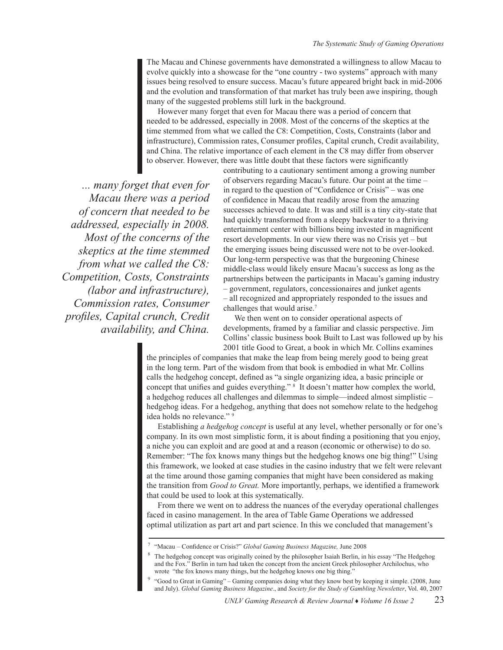The Macau and Chinese governments have demonstrated a willingness to allow Macau to evolve quickly into a showcase for the "one country - two systems" approach with many issues being resolved to ensure success. Macau's future appeared bright back in mid-2006 and the evolution and transformation of that market has truly been awe inspiring, though many of the suggested problems still lurk in the background.

However many forget that even for Macau there was a period of concern that needed to be addressed, especially in 2008. Most of the concerns of the skeptics at the time stemmed from what we called the C8: Competition, Costs, Constraints (labor and infrastructure), Commission rates, Consumer profiles, Capital crunch, Credit availability, and China. The relative importance of each element in the C8 may differ from observer to observer. However, there was little doubt that these factors were significantly

*... many forget that even for Macau there was a period of concern that needed to be addressed, especially in 2008. Most of the concerns of the skeptics at the time stemmed from what we called the C8: Competition, Costs, Constraints (labor and infrastructure), Commission rates, Consumer profiles, Capital crunch, Credit availability, and China.* 

contributing to a cautionary sentiment among a growing number of observers regarding Macau's future. Our point at the time – in regard to the question of "Confidence or Crisis" – was one of confidence in Macau that readily arose from the amazing successes achieved to date. It was and still is a tiny city-state that had quickly transformed from a sleepy backwater to a thriving entertainment center with billions being invested in magnificent resort developments. In our view there was no Crisis yet – but the emerging issues being discussed were not to be over-looked. Our long-term perspective was that the burgeoning Chinese middle-class would likely ensure Macau's success as long as the partnerships between the participants in Macau's gaming industry – government, regulators, concessionaires and junket agents – all recognized and appropriately responded to the issues and challenges that would arise.<sup>7</sup>

We then went on to consider operational aspects of developments, framed by a familiar and classic perspective. Jim Collins' classic business book Built to Last was followed up by his 2001 title Good to Great, a book in which Mr. Collins examines

the principles of companies that make the leap from being merely good to being great in the long term. Part of the wisdom from that book is embodied in what Mr. Collins calls the hedgehog concept, defined as "a single organizing idea, a basic principle or concept that unifies and guides everything." <sup>8</sup> It doesn't matter how complex the world, a hedgehog reduces all challenges and dilemmas to simple—indeed almost simplistic – hedgehog ideas. For a hedgehog, anything that does not somehow relate to the hedgehog idea holds no relevance." 9

Establishing *a hedgehog concept* is useful at any level, whether personally or for one's company. In its own most simplistic form, it is about finding a positioning that you enjoy, a niche you can exploit and are good at and a reason (economic or otherwise) to do so. Remember: "The fox knows many things but the hedgehog knows one big thing!" Using this framework, we looked at case studies in the casino industry that we felt were relevant at the time around those gaming companies that might have been considered as making the transition from *Good to Great.* More importantly, perhaps, we identified a framework that could be used to look at this systematically.

From there we went on to address the nuances of the everyday operational challenges faced in casino management. In the area of Table Game Operations we addressed optimal utilization as part art and part science. In this we concluded that management's

<sup>7</sup> "Macau – Confidence or Crisis?" *Global Gaming Business Magazine,* June 2008

The hedgehog concept was originally coined by the philosopher Isaiah Berlin, in his essay "The Hedgehog and the Fox." Berlin in turn had taken the concept from the ancient Greek philosopher Archilochus, who wrote "the fox knows many things, but the hedgehog knows one big thing."

<sup>9</sup> "Good to Great in Gaming" – Gaming companies doing what they know best by keeping it simple. (2008, June and July). *Global Gaming Business Magazine*., and *Society for the Study of Gambling Newsletter*, Vol. 40, 2007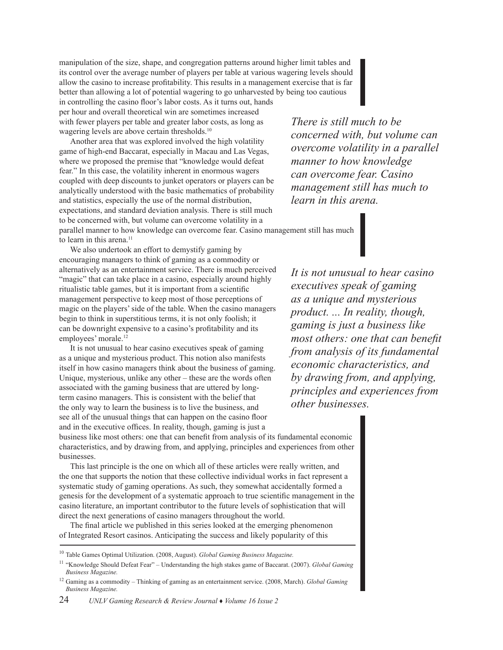manipulation of the size, shape, and congregation patterns around higher limit tables and its control over the average number of players per table at various wagering levels should allow the casino to increase profitability. This results in a management exercise that is far better than allowing a lot of potential wagering to go unharvested by being too cautious in controlling the casino floor's labor costs. As it turns out, hands

per hour and overall theoretical win are sometimes increased with fewer players per table and greater labor costs, as long as wagering levels are above certain thresholds.<sup>10</sup>

Another area that was explored involved the high volatility game of high-end Baccarat, especially in Macau and Las Vegas, where we proposed the premise that "knowledge would defeat fear." In this case, the volatility inherent in enormous wagers coupled with deep discounts to junket operators or players can be analytically understood with the basic mathematics of probability and statistics, especially the use of the normal distribution, expectations, and standard deviation analysis. There is still much to be concerned with, but volume can overcome volatility in a parallel manner to how knowledge can overcome fear. Casino management still has much to learn in this arena.<sup>11</sup>

We also undertook an effort to demystify gaming by encouraging managers to think of gaming as a commodity or alternatively as an entertainment service. There is much perceived "magic" that can take place in a casino, especially around highly ritualistic table games, but it is important from a scientific management perspective to keep most of those perceptions of magic on the players' side of the table. When the casino managers begin to think in superstitious terms, it is not only foolish; it can be downright expensive to a casino's profitability and its employees' morale.12

It is not unusual to hear casino executives speak of gaming as a unique and mysterious product. This notion also manifests itself in how casino managers think about the business of gaming. Unique, mysterious, unlike any other – these are the words often associated with the gaming business that are uttered by longterm casino managers. This is consistent with the belief that the only way to learn the business is to live the business, and see all of the unusual things that can happen on the casino floor and in the executive offices. In reality, though, gaming is just a

*There is still much to be concerned with, but volume can overcome volatility in a parallel manner to how knowledge can overcome fear. Casino management still has much to learn in this arena.* 

*It is not unusual to hear casino executives speak of gaming as a unique and mysterious product. ... In reality, though, gaming is just a business like most others: one that can benefit from analysis of its fundamental economic characteristics, and by drawing from, and applying, principles and experiences from other businesses.*

business like most others: one that can benefit from analysis of its fundamental economic characteristics, and by drawing from, and applying, principles and experiences from other businesses.

This last principle is the one on which all of these articles were really written, and the one that supports the notion that these collective individual works in fact represent a systematic study of gaming operations. As such, they somewhat accidentally formed a genesis for the development of a systematic approach to true scientific management in the casino literature, an important contributor to the future levels of sophistication that will direct the next generations of casino managers throughout the world.

The final article we published in this series looked at the emerging phenomenon of Integrated Resort casinos. Anticipating the success and likely popularity of this

<sup>10</sup> Table Games Optimal Utilization. (2008, August). *Global Gaming Business Magazine.*

<sup>11</sup> "Knowledge Should Defeat Fear" – Understanding the high stakes game of Baccarat. (2007). *Global Gaming Business Magazine.*

<sup>12</sup> Gaming as a commodity – Thinking of gaming as an entertainment service. (2008, March). *Global Gaming Business Magazine.*